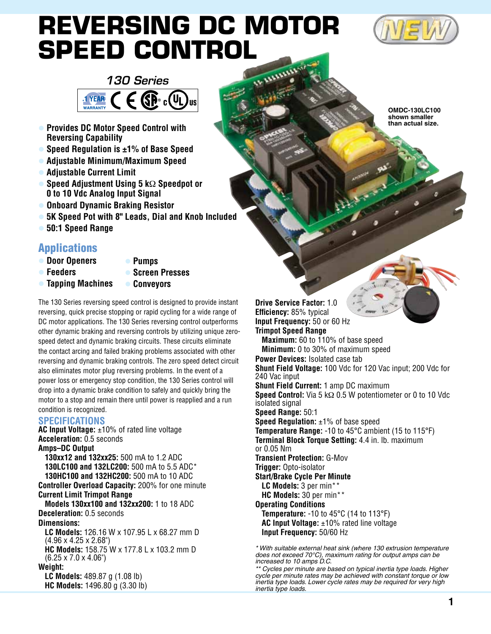## **Reversing DC Motor Speed Control**





- l **Provides DC Motor Speed Control with Reversing Capability**
- **Speed Regulation is ±1% of Base Speed**
- l **Adjustable Minimum/Maximum Speed**
- **Adjustable Current Limit**
- l **Speed Adjustment Using 5 k**Ω **Speedpot or 0 to 10 Vdc Analog Input Signal**
- l **Onboard Dynamic Braking Resistor**
- l **5K Speed Pot with 8" Leads, Dial and Knob Included**
- l **50:1 Speed Range**

## **Applications**

- l **Door Openers**
- l **Pumps**
- **e** Feeders
- l **Screen Presses**
- l **Tapping Machines**
- **Conveyors**

The 130 Series reversing speed control is designed to provide instant reversing, quick precise stopping or rapid cycling for a wide range of DC motor applications. The 130 Series reversing control outperforms other dynamic braking and reversing controls by utilizing unique zerospeed detect and dynamic braking circuits. These circuits eliminate the contact arcing and failed braking problems associated with other reversing and dynamic braking controls. The zero speed detect circuit also eliminates motor plug reversing problems. In the event of a power loss or emergency stop condition, the 130 Series control will drop into a dynamic brake condition to safely and quickly bring the motor to a stop and remain there until power is reapplied and a run condition is recognized.

## **SPECIFICATIONS**

**AC Input Voltage:** ±10% of rated line voltage **Acceleration:** 0.5 seconds **Amps–DC Output 130xx12 and 132xx25:** 500 mA to 1.2 ADC **130LC100 and 132LC200:** 500 mA to 5.5 ADC\* **130HC100 and 132HC200:** 500 mA to 10 ADC **Controller Overload Capacity:** 200% for one minute **Current Limit Trimpot Range Models 130xx100 and 132xx200:** 1 to 18 ADC **Deceleration:** 0.5 seconds **Dimensions: LC Models:** 126.16 W x 107.95 L x 68.27 mm D (4.96 x 4.25 x 2.68") **HC Models:** 158.75 W x 177.8 L x 103.2 mm D (6.25 x 7.0 x 4.06") **Weight: LC Models:** 489.87 g (1.08 lb) **HC Models:** 1496.80 g (3.30 lb)

**Drive Service Factor:** 1.0 **Efficiency:** 85% typical **Input Frequency:** 50 or 60 Hz **Trimpot Speed Range Maximum:** 60 to 110% of base speed **Minimum:** 0 to 30% of maximum speed **Power Devices:** Isolated case tab **Shunt Field Voltage:** 100 Vdc for 120 Vac input; 200 Vdc for 240 Vac input **Shunt Field Current:** 1 amp DC maximum **Speed Control:** Via 5 kΩ 0.5 W potentiometer or 0 to 10 Vdc isolated signal **Speed Range:** 50:1 **Speed Regulation:** ±1% of base speed **Temperature Range:** -10 to 45°C ambient (15 to 115°F) **Terminal Block Torque Setting:** 4.4 in. lb. maximum or 0.05 Nm **Transient Protection:** G-Mov **Trigger:** Opto-isolator **Start/Brake Cycle Per Minute LC Models:** 3 per min\*\* **HC Models:** 30 per min\*\* **Operating Conditions Temperature:** -10 to 45°C (14 to 113°F) **AC Input Voltage:** ±10% rated line voltage **Input Frequency:** 50/60 Hz

**OMDC-130LC100 shown smaller than actual size.**

*<sup>\*</sup> With suitable external heat sink (where 130 extrusion temperature does not exceed 70°C), maximum rating for output amps can be increased to 10 amps D.C.*

*<sup>\*\*</sup> Cycles per minute are based on typical inertia type loads. Higher cycle per minute rates may be achieved with constant torque or low inertia type loads. Lower cycle rates may be required for very high inertia type loads.*